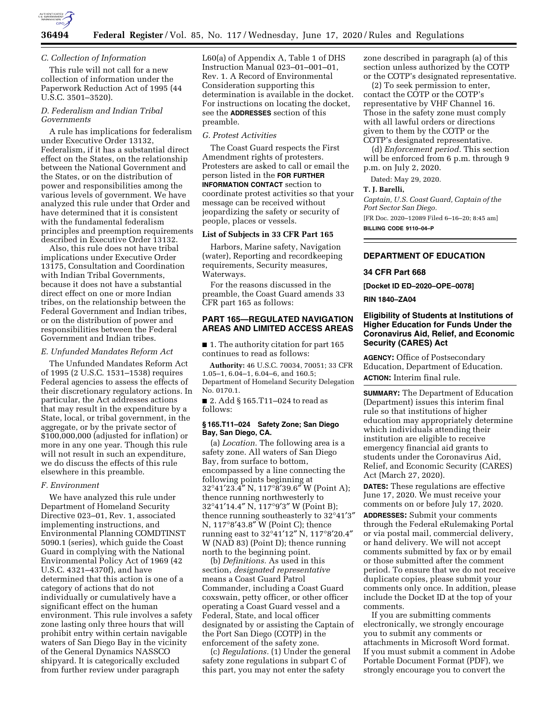

#### *C. Collection of Information*

This rule will not call for a new collection of information under the Paperwork Reduction Act of 1995 (44 U.S.C. 3501–3520).

### *D. Federalism and Indian Tribal Governments*

A rule has implications for federalism under Executive Order 13132, Federalism, if it has a substantial direct effect on the States, on the relationship between the National Government and the States, or on the distribution of power and responsibilities among the various levels of government. We have analyzed this rule under that Order and have determined that it is consistent with the fundamental federalism principles and preemption requirements described in Executive Order 13132.

Also, this rule does not have tribal implications under Executive Order 13175, Consultation and Coordination with Indian Tribal Governments, because it does not have a substantial direct effect on one or more Indian tribes, on the relationship between the Federal Government and Indian tribes, or on the distribution of power and responsibilities between the Federal Government and Indian tribes.

### *E. Unfunded Mandates Reform Act*

The Unfunded Mandates Reform Act of 1995 (2 U.S.C. 1531–1538) requires Federal agencies to assess the effects of their discretionary regulatory actions. In particular, the Act addresses actions that may result in the expenditure by a State, local, or tribal government, in the aggregate, or by the private sector of \$100,000,000 (adjusted for inflation) or more in any one year. Though this rule will not result in such an expenditure, we do discuss the effects of this rule elsewhere in this preamble.

#### *F. Environment*

We have analyzed this rule under Department of Homeland Security Directive 023–01, Rev. 1, associated implementing instructions, and Environmental Planning COMDTINST 5090.1 (series), which guide the Coast Guard in complying with the National Environmental Policy Act of 1969 (42 U.S.C. 4321–4370f), and have determined that this action is one of a category of actions that do not individually or cumulatively have a significant effect on the human environment. This rule involves a safety zone lasting only three hours that will prohibit entry within certain navigable waters of San Diego Bay in the vicinity of the General Dynamics NASSCO shipyard. It is categorically excluded from further review under paragraph

L60(a) of Appendix A, Table 1 of DHS Instruction Manual 023–01–001–01, Rev. 1. A Record of Environmental Consideration supporting this determination is available in the docket. For instructions on locating the docket, see the **ADDRESSES** section of this preamble.

#### *G. Protest Activities*

The Coast Guard respects the First Amendment rights of protesters. Protesters are asked to call or email the person listed in the **FOR FURTHER INFORMATION CONTACT** section to coordinate protest activities so that your message can be received without jeopardizing the safety or security of people, places or vessels.

# **List of Subjects in 33 CFR Part 165**

Harbors, Marine safety, Navigation (water), Reporting and recordkeeping requirements, Security measures, Waterways.

For the reasons discussed in the preamble, the Coast Guard amends 33 CFR part 165 as follows:

### **PART 165—REGULATED NAVIGATION AREAS AND LIMITED ACCESS AREAS**

■ 1. The authority citation for part 165 continues to read as follows:

**Authority:** 46 U.S.C. 70034, 70051; 33 CFR 1.05–1, 6.04–1, 6.04–6, and 160.5; Department of Homeland Security Delegation No. 0170.1.

■ 2. Add § 165.T11–024 to read as follows:

### **§ 165.T11–024 Safety Zone; San Diego Bay, San Diego, CA.**

(a) *Location.* The following area is a safety zone. All waters of San Diego Bay, from surface to bottom, encompassed by a line connecting the following points beginning at 32°41′23.4″ N, 117°8′39.6″ W (Point A); thence running northwesterly to 32°41′14.4″ N, 117°9′3″ W (Point B); thence running southeasterly to 32°41′3″ N, 117°8′43.8″ W (Point C); thence running east to 32°41′12″ N, 117°8′20.4″ W (NAD 83) (Point D); thence running north to the beginning point.

(b) *Definitions.* As used in this section, *designated representative*  means a Coast Guard Patrol Commander, including a Coast Guard coxswain, petty officer, or other officer operating a Coast Guard vessel and a Federal, State, and local officer designated by or assisting the Captain of the Port San Diego (COTP) in the enforcement of the safety zone.

(c) *Regulations.* (1) Under the general safety zone regulations in subpart C of this part, you may not enter the safety

zone described in paragraph (a) of this section unless authorized by the COTP or the COTP's designated representative.

(2) To seek permission to enter, contact the COTP or the COTP's representative by VHF Channel 16. Those in the safety zone must comply with all lawful orders or directions given to them by the COTP or the COTP's designated representative.

(d) *Enforcement period.* This section will be enforced from 6 p.m. through 9 p.m. on July 2, 2020.

Dated: May 29, 2020.

#### **T. J. Barelli,**

*Captain, U.S. Coast Guard, Captain of the Port Sector San Diego.*  [FR Doc. 2020–12089 Filed 6–16–20; 8:45 am] **BILLING CODE 9110–04–P** 

# **DEPARTMENT OF EDUCATION**

### **34 CFR Part 668**

**[Docket ID ED–2020–OPE–0078]** 

**RIN 1840–ZA04** 

# **Eligibility of Students at Institutions of Higher Education for Funds Under the Coronavirus Aid, Relief, and Economic Security (CARES) Act**

**AGENCY:** Office of Postsecondary Education, Department of Education. **ACTION:** Interim final rule.

**SUMMARY:** The Department of Education (Department) issues this interim final rule so that institutions of higher education may appropriately determine which individuals attending their institution are eligible to receive emergency financial aid grants to students under the Coronavirus Aid, Relief, and Economic Security (CARES) Act (March 27, 2020).

**DATES:** These regulations are effective June 17, 2020. We must receive your comments on or before July 17, 2020.

**ADDRESSES:** Submit your comments through the Federal eRulemaking Portal or via postal mail, commercial delivery, or hand delivery. We will not accept comments submitted by fax or by email or those submitted after the comment period. To ensure that we do not receive duplicate copies, please submit your comments only once. In addition, please include the Docket ID at the top of your comments.

If you are submitting comments electronically, we strongly encourage you to submit any comments or attachments in Microsoft Word format. If you must submit a comment in Adobe Portable Document Format (PDF), we strongly encourage you to convert the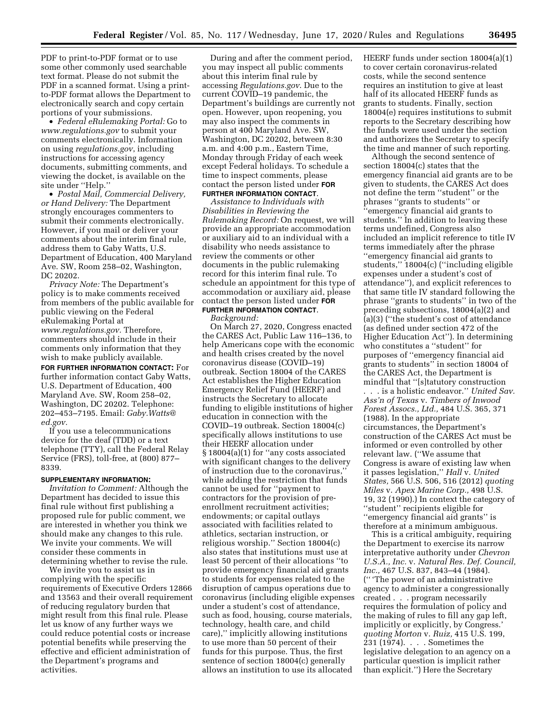PDF to print-to-PDF format or to use some other commonly used searchable text format. Please do not submit the PDF in a scanned format. Using a printto-PDF format allows the Department to electronically search and copy certain portions of your submissions.

• *Federal eRulemaking Portal:* Go to *[www.regulations.gov](http://www.regulations.gov)* to submit your comments electronically. Information on using *regulations.gov*, including instructions for accessing agency documents, submitting comments, and viewing the docket, is available on the site under ''Help.''

• *Postal Mail, Commercial Delivery, or Hand Delivery:* The Department strongly encourages commenters to submit their comments electronically. However, if you mail or deliver your comments about the interim final rule, address them to Gaby Watts, U.S. Department of Education, 400 Maryland Ave. SW, Room 258–02, Washington, DC 20202.

*Privacy Note:* The Department's policy is to make comments received from members of the public available for public viewing on the Federal eRulemaking Portal at *[www.regulations.gov.](http://www.regulations.gov)* Therefore, commenters should include in their comments only information that they wish to make publicly available.

**FOR FURTHER INFORMATION CONTACT:** For further information contact Gaby Watts, U.S. Department of Education, 400 Maryland Ave. SW, Room 258–02, Washington, DC 20202. Telephone: 202–453–7195. Email: *[Gaby.Watts@](mailto:Gaby.Watts@ed.gov) [ed.gov.](mailto:Gaby.Watts@ed.gov)* 

If you use a telecommunications device for the deaf (TDD) or a text telephone (TTY), call the Federal Relay Service (FRS), toll-free, at (800) 877– 8339.

#### **SUPPLEMENTARY INFORMATION:**

*Invitation to Comment:* Although the Department has decided to issue this final rule without first publishing a proposed rule for public comment, we are interested in whether you think we should make any changes to this rule. We invite your comments. We will consider these comments in determining whether to revise the rule.

We invite you to assist us in complying with the specific requirements of Executive Orders 12866 and 13563 and their overall requirement of reducing regulatory burden that might result from this final rule. Please let us know of any further ways we could reduce potential costs or increase potential benefits while preserving the effective and efficient administration of the Department's programs and activities.

During and after the comment period, you may inspect all public comments about this interim final rule by accessing *Regulations.gov*. Due to the current COVID–19 pandemic, the Department's buildings are currently not open. However, upon reopening, you may also inspect the comments in person at 400 Maryland Ave. SW, Washington, DC 20202, between 8:30 a.m. and 4:00 p.m., Eastern Time, Monday through Friday of each week except Federal holidays. To schedule a time to inspect comments, please contact the person listed under **FOR FURTHER INFORMATION CONTACT**.

*Assistance to Individuals with Disabilities in Reviewing the Rulemaking Record:* On request, we will provide an appropriate accommodation or auxiliary aid to an individual with a disability who needs assistance to review the comments or other documents in the public rulemaking record for this interim final rule. To schedule an appointment for this type of accommodation or auxiliary aid, please contact the person listed under **FOR FURTHER INFORMATION CONTACT**.

### *Background:*

On March 27, 2020, Congress enacted the CARES Act, Public Law 116–136, to help Americans cope with the economic and health crises created by the novel coronavirus disease (COVID–19) outbreak. Section 18004 of the CARES Act establishes the Higher Education Emergency Relief Fund (HEERF) and instructs the Secretary to allocate funding to eligible institutions of higher education in connection with the COVID–19 outbreak. Section 18004(c) specifically allows institutions to use their HEERF allocation under § 18004(a)(1) for ''any costs associated with significant changes to the delivery of instruction due to the coronavirus, while adding the restriction that funds cannot be used for ''payment to contractors for the provision of preenrollment recruitment activities; endowments; or capital outlays associated with facilities related to athletics, sectarian instruction, or religious worship.'' Section 18004(c) also states that institutions must use at least 50 percent of their allocations ''to provide emergency financial aid grants to students for expenses related to the disruption of campus operations due to coronavirus (including eligible expenses under a student's cost of attendance, such as food, housing, course materials, technology, health care, and child care),'' implicitly allowing institutions to use more than 50 percent of their funds for this purpose. Thus, the first sentence of section 18004(c) generally allows an institution to use its allocated

HEERF funds under section 18004(a)(1) to cover certain coronavirus-related costs, while the second sentence requires an institution to give at least half of its allocated HEERF funds as grants to students. Finally, section 18004(e) requires institutions to submit reports to the Secretary describing how the funds were used under the section and authorizes the Secretary to specify the time and manner of such reporting.

Although the second sentence of section 18004(c) states that the emergency financial aid grants are to be given to students, the CARES Act does not define the term ''student'' or the phrases ''grants to students'' or 'emergency financial aid grants to students." In addition to leaving these terms undefined, Congress also included an implicit reference to title IV terms immediately after the phrase ''emergency financial aid grants to students,'' 18004(c) (''including eligible expenses under a student's cost of attendance''), and explicit references to that same title IV standard following the phrase ''grants to students'' in two of the preceding subsections, 18004(a)(2) and (a)(3) (''the student's cost of attendance (as defined under section 472 of the Higher Education Act''). In determining who constitutes a ''student'' for purposes of ''emergency financial aid grants to students'' in section 18004 of the CARES Act, the Department is mindful that ''[s]tatutory construction

. . . is a holistic endeavor.'' *United Sav. Ass'n of Texas* v. *Timbers of Inwood Forest Assocs., Ltd.,* 484 U.S. 365, 371 (1988). In the appropriate circumstances, the Department's construction of the CARES Act must be informed or even controlled by other relevant law. (''We assume that Congress is aware of existing law when it passes legislation,'' *Hall* v. *United States,* 566 U.S. 506, 516 (2012) *quoting Miles* v. *Apex Marine Corp.,* 498 U.S. 19, 32 (1990).) In context the category of ''student'' recipients eligible for ''emergency financial aid grants'' is therefore at a minimum ambiguous.

This is a critical ambiguity, requiring the Department to exercise its narrow interpretative authority under *Chevron U.S.A., Inc.* v. *Natural Res. Def. Council, Inc.,* 467 U.S. 837, 843–44 (1984). ('' 'The power of an administrative agency to administer a congressionally created . . . program necessarily requires the formulation of policy and the making of rules to fill any gap left, implicitly or explicitly, by Congress.' *quoting Morton* v. *Ruiz,* 415 U.S. 199, 231 (1974). . . . Sometimes the legislative delegation to an agency on a particular question is implicit rather than explicit.'') Here the Secretary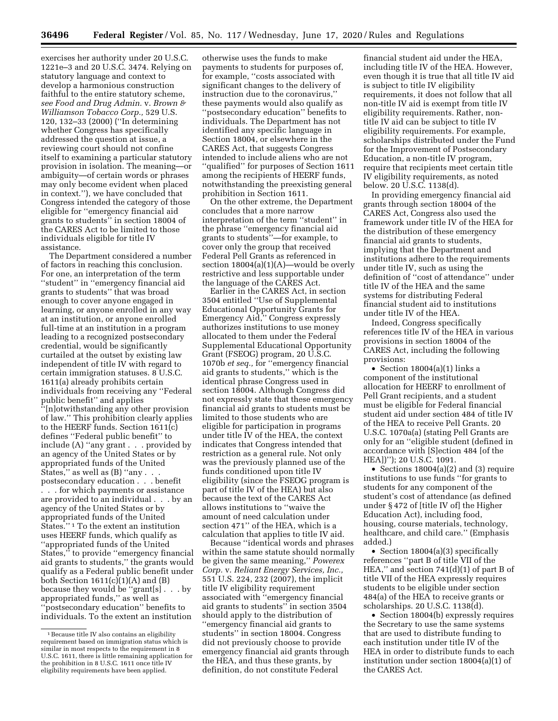exercises her authority under 20 U.S.C. 1221e–3 and 20 U.S.C. 3474. Relying on statutory language and context to develop a harmonious construction faithful to the entire statutory scheme, *see Food and Drug Admin.* v. *Brown & Williamson Tobacco Corp.,* 529 U.S. 120, 132–33 (2000) (''In determining whether Congress has specifically addressed the question at issue, a reviewing court should not confine itself to examining a particular statutory provision in isolation. The meaning—or ambiguity—of certain words or phrases may only become evident when placed in context.''), we have concluded that Congress intended the category of those eligible for ''emergency financial aid grants to students'' in section 18004 of the CARES Act to be limited to those individuals eligible for title IV assistance.

The Department considered a number of factors in reaching this conclusion. For one, an interpretation of the term ''student'' in ''emergency financial aid grants to students'' that was broad enough to cover anyone engaged in learning, or anyone enrolled in any way at an institution, or anyone enrolled full-time at an institution in a program leading to a recognized postsecondary credential, would be significantly curtailed at the outset by existing law independent of title IV with regard to certain immigration statuses. 8 U.S.C. 1611(a) already prohibits certain individuals from receiving any ''Federal public benefit'' and applies ''[n]otwithstanding any other provision of law.'' This prohibition clearly applies to the HEERF funds. Section 1611(c) defines ''Federal public benefit'' to include (A) ''any grant . . . provided by an agency of the United States or by appropriated funds of the United States," as well as  $(B)$  "any  $\ldots$ . postsecondary education . . . benefit . . . for which payments or assistance are provided to an individual . . . by an agency of the United States or by appropriated funds of the United States."<sup>1</sup> To the extent an institution uses HEERF funds, which qualify as ''appropriated funds of the United States," to provide "emergency financial aid grants to students,'' the grants would qualify as a Federal public benefit under both Section  $1611(c)(1)(A)$  and  $(B)$ because they would be ''grant[s] . . . by appropriated funds,'' as well as ''postsecondary education'' benefits to individuals. To the extent an institution

otherwise uses the funds to make payments to students for purposes of, for example, ''costs associated with significant changes to the delivery of instruction due to the coronavirus,'' these payments would also qualify as ''postsecondary education'' benefits to individuals. The Department has not identified any specific language in Section 18004, or elsewhere in the CARES Act, that suggests Congress intended to include aliens who are not ''qualified'' for purposes of Section 1611 among the recipients of HEERF funds, notwithstanding the preexisting general prohibition in Section 1611.

On the other extreme, the Department concludes that a more narrow interpretation of the term ''student'' in the phrase ''emergency financial aid grants to students''—for example, to cover only the group that received Federal Pell Grants as referenced in section 18004(a)(1)(A)—would be overly restrictive and less supportable under the language of the CARES Act.

Earlier in the CARES Act, in section 3504 entitled ''Use of Supplemental Educational Opportunity Grants for Emergency Aid,'' Congress expressly authorizes institutions to use money allocated to them under the Federal Supplemental Educational Opportunity Grant (FSEOG) program, 20 U.S.C. 1070b *et seq.,* for ''emergency financial aid grants to students,'' which is the identical phrase Congress used in section 18004. Although Congress did not expressly state that these emergency financial aid grants to students must be limited to those students who are eligible for participation in programs under title IV of the HEA, the context indicates that Congress intended that restriction as a general rule. Not only was the previously planned use of the funds conditioned upon title IV eligibility (since the FSEOG program is part of title IV of the HEA) but also because the text of the CARES Act allows institutions to ''waive the amount of need calculation under section 471'' of the HEA, which is a calculation that applies to title IV aid.

Because ''identical words and phrases within the same statute should normally be given the same meaning,'' *Powerex Corp.* v. *Reliant Energy Services, Inc.,*  551 U.S. 224, 232 (2007), the implicit title IV eligibility requirement associated with ''emergency financial aid grants to students'' in section 3504 should apply to the distribution of ''emergency financial aid grants to students'' in section 18004. Congress did not previously choose to provide emergency financial aid grants through the HEA, and thus these grants, by definition, do not constitute Federal

financial student aid under the HEA, including title IV of the HEA. However, even though it is true that all title IV aid is subject to title IV eligibility requirements, it does not follow that all non-title IV aid is exempt from title IV eligibility requirements. Rather, nontitle IV aid can be subject to title IV eligibility requirements. For example, scholarships distributed under the Fund for the Improvement of Postsecondary Education, a non-title IV program, require that recipients meet certain title IV eligibility requirements, as noted below. 20 U.S.C. 1138(d).

In providing emergency financial aid grants through section 18004 of the CARES Act, Congress also used the framework under title IV of the HEA for the distribution of these emergency financial aid grants to students, implying that the Department and institutions adhere to the requirements under title IV, such as using the definition of ''cost of attendance'' under title IV of the HEA and the same systems for distributing Federal financial student aid to institutions under title IV of the HEA.

Indeed, Congress specifically references title IV of the HEA in various provisions in section 18004 of the CARES Act, including the following provisions:

• Section 18004(a)(1) links a component of the institutional allocation for HEERF to enrollment of Pell Grant recipients, and a student must be eligible for Federal financial student aid under section 484 of title IV of the HEA to receive Pell Grants. 20 U.S.C. 1070a(a) (stating Pell Grants are only for an ''eligible student (defined in accordance with [S]ection 484 [of the HEA])''); 20 U.S.C. 1091.

• Sections 18004(a)(2) and (3) require institutions to use funds ''for grants to students for any component of the student's cost of attendance (as defined under § 472 of [title IV of] the Higher Education Act), including food, housing, course materials, technology, healthcare, and child care.'' (Emphasis added.)

• Section 18004(a)(3) specifically references ''part B of title VII of the HEA,'' and section 741(d)(1) of part B of title VII of the HEA expressly requires students to be eligible under section 484(a) of the HEA to receive grants or scholarships. 20 U.S.C. 1138(d).

• Section 18004(b) expressly requires the Secretary to use the same systems that are used to distribute funding to each institution under title IV of the HEA in order to distribute funds to each institution under section 18004(a)(1) of the CARES Act.

<sup>1</sup>Because title IV also contains an eligibility requirement based on immigration status which is similar in most respects to the requirement in 8 U.S.C. 1611, there is little remaining application for the prohibition in 8 U.S.C. 1611 once title IV eligibility requirements have been applied.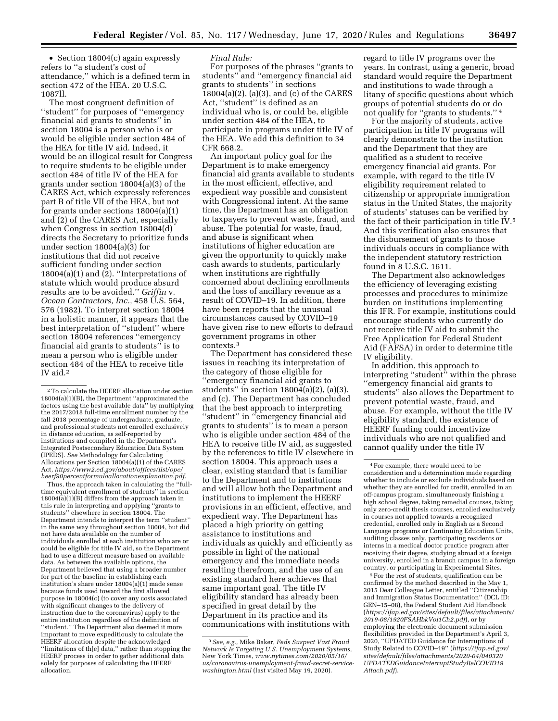• Section 18004(c) again expressly refers to ''a student's cost of attendance,'' which is a defined term in section 472 of the HEA. 20 U.S.C. 1087ll.

The most congruent definition of ''student'' for purposes of ''emergency financial aid grants to students'' in section 18004 is a person who is or would be eligible under section 484 of the HEA for title IV aid. Indeed, it would be an illogical result for Congress to require students to be eligible under section 484 of title IV of the HEA for grants under section 18004(a)(3) of the CARES Act, which expressly references part B of title VII of the HEA, but not for grants under sections 18004(a)(1) and (2) of the CARES Act, especially when Congress in section 18004(d) directs the Secretary to prioritize funds under section 18004(a)(3) for institutions that did not receive sufficient funding under section 18004(a)(1) and (2). ''Interpretations of statute which would produce absurd results are to be avoided.'' *Griffin* v. *Ocean Contractors, Inc.,* 458 U.S. 564, 576 (1982). To interpret section 18004 in a holistic manner, it appears that the best interpretation of ''student'' where section 18004 references ''emergency financial aid grants to students'' is to mean a person who is eligible under section 484 of the HEA to receive title IV aid.2

Thus, the approach taken in calculating the ''fulltime equivalent enrollment of students'' in section  $18004(a)(1)(B)$  differs from the approach taken in this rule in interpreting and applying ''grants to students'' elsewhere in section 18004. The Department intends to interpret the term ''student'' in the same way throughout section 18004, but did not have data available on the number of individuals enrolled at each institution who are or could be eligible for title IV aid, so the Department had to use a different measure based on available data. As between the available options, the Department believed that using a broader number for part of the baseline in establishing each institution's share under 18004(a)(1) made sense because funds used toward the first allowed purpose in 18004(c) (to cover any costs associated with significant changes to the delivery of instruction due to the coronavirus) apply to the entire institution regardless of the definition of "student." The Department also deemed it more important to move expeditiously to calculate the HEERF allocation despite the acknowledged ''limitations of th[e] data,'' rather than stopping the HEERF process in order to gather additional data solely for purposes of calculating the HEERF allocation.

### *Final Rule:*

For purposes of the phrases ''grants to students'' and ''emergency financial aid grants to students'' in sections 18004(a)(2), (a)(3), and (c) of the CARES Act, ''student'' is defined as an individual who is, or could be, eligible under section 484 of the HEA, to participate in programs under title IV of the HEA. We add this definition to 34 CFR 668.2.

An important policy goal for the Department is to make emergency financial aid grants available to students in the most efficient, effective, and expedient way possible and consistent with Congressional intent. At the same time, the Department has an obligation to taxpayers to prevent waste, fraud, and abuse. The potential for waste, fraud, and abuse is significant when institutions of higher education are given the opportunity to quickly make cash awards to students, particularly when institutions are rightfully concerned about declining enrollments and the loss of ancillary revenue as a result of COVID–19. In addition, there have been reports that the unusual circumstances caused by COVID–19 have given rise to new efforts to defraud government programs in other contexts.3

The Department has considered these issues in reaching its interpretation of the category of those eligible for ''emergency financial aid grants to students" in section  $18004(a)(2)$ ,  $(a)(3)$ , and (c). The Department has concluded that the best approach to interpreting ''student'' in ''emergency financial aid grants to students'' is to mean a person who is eligible under section 484 of the HEA to receive title IV aid, as suggested by the references to title IV elsewhere in section 18004. This approach uses a clear, existing standard that is familiar to the Department and to institutions and will allow both the Department and institutions to implement the HEERF provisions in an efficient, effective, and expedient way. The Department has placed a high priority on getting assistance to institutions and individuals as quickly and efficiently as possible in light of the national emergency and the immediate needs resulting therefrom, and the use of an existing standard here achieves that same important goal. The title IV eligibility standard has already been specified in great detail by the Department in its practice and its communications with institutions with

regard to title IV programs over the years. In contrast, using a generic, broad standard would require the Department and institutions to wade through a litany of specific questions about which groups of potential students do or do not qualify for ''grants to students.'' 4

For the majority of students, active participation in title IV programs will clearly demonstrate to the institution and the Department that they are qualified as a student to receive emergency financial aid grants. For example, with regard to the title IV eligibility requirement related to citizenship or appropriate immigration status in the United States, the majority of students' statuses can be verified by the fact of their participation in title IV.5 And this verification also ensures that the disbursement of grants to those individuals occurs in compliance with the independent statutory restriction found in 8 U.S.C. 1611.

The Department also acknowledges the efficiency of leveraging existing processes and procedures to minimize burden on institutions implementing this IFR. For example, institutions could encourage students who currently do not receive title IV aid to submit the Free Application for Federal Student Aid (FAFSA) in order to determine title IV eligibility.

In addition, this approach to interpreting ''student'' within the phrase ''emergency financial aid grants to students'' also allows the Department to prevent potential waste, fraud, and abuse. For example, without the title IV eligibility standard, the existence of HEERF funding could incentivize individuals who are not qualified and cannot qualify under the title IV

5For the rest of students, qualification can be confirmed by the method described in the May 1, 2015 Dear Colleague Letter, entitled ''Citizenship and Immigration Status Documentation'' (DCL ID: GEN–15–08), the Federal Student Aid Handbook (*[https://ifap.ed.gov/sites/default/files/attachments/](https://ifap.ed.gov/sites/default/files/attachments/2019-08/1920FSAHbkVol1Ch2.pdf) [2019-08/1920FSAHbkVol1Ch2.pdf](https://ifap.ed.gov/sites/default/files/attachments/2019-08/1920FSAHbkVol1Ch2.pdf)*), or by employing the electronic document submission flexibilities provided in the Department's April 3, 2020, ''UPDATED Guidance for Interruptions of Study Related to COVID–19'' (*[https://ifap.ed.gov/](https://ifap.ed.gov/sites/default/files/attachments/2020-04/040320UPDATEDGuidanceInterruptStudyRelCOVID19Attach.pdf)  sites/default/files/attachments/2020-04/040320 [UPDATEDGuidanceInterruptStudyRelCOVID19](https://ifap.ed.gov/sites/default/files/attachments/2020-04/040320UPDATEDGuidanceInterruptStudyRelCOVID19Attach.pdf) [Attach.pdf](https://ifap.ed.gov/sites/default/files/attachments/2020-04/040320UPDATEDGuidanceInterruptStudyRelCOVID19Attach.pdf)*).

<sup>2</sup>To calculate the HEERF allocation under section 18004(a)(1)(B), the Department ''approximated the factors using the best available data'' by multiplying the 2017/2018 full-time enrollment number by the fall 2018 percentage of undergraduate, graduate, and professional students not enrolled exclusively in distance education, as self-reported by institutions and compiled in the Department's Integrated Postsecondary Education Data System (IPEDS). *See* Methodology for Calculating Allocations per Section 18004(a)(1) of the CARES Act, *[https://www2.ed.gov/about/offices/list/ope/](https://www2.ed.gov/about/offices/list/ope/heerf90percentformulaallocationexplanation.pdf)  [heerf90percentformulaallocationexplanation.pdf.](https://www2.ed.gov/about/offices/list/ope/heerf90percentformulaallocationexplanation.pdf)* 

<sup>3</sup>*See, e.g.,* Mike Baker, *Feds Suspect Vast Fraud Network Is Targeting U.S. Unemployment Systems,*  New York Times, *[www.nytimes.com/2020/05/16/](http://www.nytimes.com/2020/05/16/us/coronavirus-unemployment-fraud-secret-service-washington.html)  [us/coronavirus-unemployment-fraud-secret-service](http://www.nytimes.com/2020/05/16/us/coronavirus-unemployment-fraud-secret-service-washington.html)[washington.html](http://www.nytimes.com/2020/05/16/us/coronavirus-unemployment-fraud-secret-service-washington.html)* (last visited May 19, 2020).

<sup>4</sup>For example, there would need to be consideration and a determination made regarding whether to include or exclude individuals based on whether they are enrolled for credit, enrolled in an off-campus program, simultaneously finishing a high school degree, taking remedial courses, taking only zero-credit thesis courses, enrolled exclusively in courses not applied towards a recognized credential, enrolled only in English as a Second Language programs or Continuing Education Units, auditing classes only, participating residents or interns in a medical doctor practice program after receiving their degree, studying abroad at a foreign university, enrolled in a branch campus in a foreign country, or participating in Experimental Sites.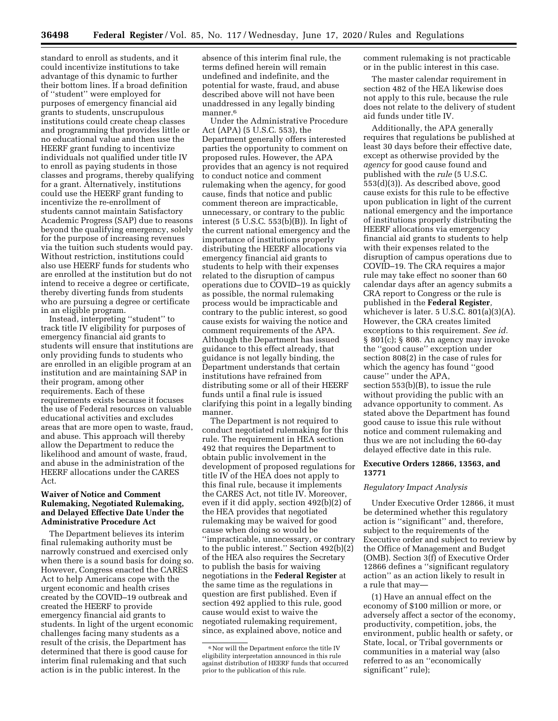standard to enroll as students, and it could incentivize institutions to take advantage of this dynamic to further their bottom lines. If a broad definition of ''student'' were employed for purposes of emergency financial aid grants to students, unscrupulous institutions could create cheap classes and programming that provides little or no educational value and then use the HEERF grant funding to incentivize individuals not qualified under title IV to enroll as paying students in those classes and programs, thereby qualifying for a grant. Alternatively, institutions could use the HEERF grant funding to incentivize the re-enrollment of students cannot maintain Satisfactory Academic Progress (SAP) due to reasons beyond the qualifying emergency, solely for the purpose of increasing revenues via the tuition such students would pay. Without restriction, institutions could also use HEERF funds for students who are enrolled at the institution but do not intend to receive a degree or certificate, thereby diverting funds from students who are pursuing a degree or certificate in an eligible program.

Instead, interpreting ''student'' to track title IV eligibility for purposes of emergency financial aid grants to students will ensure that institutions are only providing funds to students who are enrolled in an eligible program at an institution and are maintaining SAP in their program, among other requirements. Each of these requirements exists because it focuses the use of Federal resources on valuable educational activities and excludes areas that are more open to waste, fraud, and abuse. This approach will thereby allow the Department to reduce the likelihood and amount of waste, fraud, and abuse in the administration of the HEERF allocations under the CARES Act.

### **Waiver of Notice and Comment Rulemaking, Negotiated Rulemaking, and Delayed Effective Date Under the Administrative Procedure Act**

The Department believes its interim final rulemaking authority must be narrowly construed and exercised only when there is a sound basis for doing so. However, Congress enacted the CARES Act to help Americans cope with the urgent economic and health crises created by the COVID–19 outbreak and created the HEERF to provide emergency financial aid grants to students. In light of the urgent economic challenges facing many students as a result of the crisis, the Department has determined that there is good cause for interim final rulemaking and that such action is in the public interest. In the

absence of this interim final rule, the terms defined herein will remain undefined and indefinite, and the potential for waste, fraud, and abuse described above will not have been unaddressed in any legally binding manner<sup>6</sup>

Under the Administrative Procedure Act (APA) (5 U.S.C. 553), the Department generally offers interested parties the opportunity to comment on proposed rules. However, the APA provides that an agency is not required to conduct notice and comment rulemaking when the agency, for good cause, finds that notice and public comment thereon are impracticable, unnecessary, or contrary to the public interest (5 U.S.C. 553(b)(B)). In light of the current national emergency and the importance of institutions properly distributing the HEERF allocations via emergency financial aid grants to students to help with their expenses related to the disruption of campus operations due to COVID–19 as quickly as possible, the normal rulemaking process would be impracticable and contrary to the public interest, so good cause exists for waiving the notice and comment requirements of the APA. Although the Department has issued guidance to this effect already, that guidance is not legally binding, the Department understands that certain institutions have refrained from distributing some or all of their HEERF funds until a final rule is issued clarifying this point in a legally binding manner.

The Department is not required to conduct negotiated rulemaking for this rule. The requirement in HEA section 492 that requires the Department to obtain public involvement in the development of proposed regulations for title IV of the HEA does not apply to this final rule, because it implements the CARES Act, not title IV. Moreover, even if it did apply, section 492(b)(2) of the HEA provides that negotiated rulemaking may be waived for good cause when doing so would be ''impracticable, unnecessary, or contrary to the public interest.'' Section 492(b)(2) of the HEA also requires the Secretary to publish the basis for waiving negotiations in the **Federal Register** at the same time as the regulations in question are first published. Even if section 492 applied to this rule, good cause would exist to waive the negotiated rulemaking requirement, since, as explained above, notice and

comment rulemaking is not practicable or in the public interest in this case.

The master calendar requirement in section 482 of the HEA likewise does not apply to this rule, because the rule does not relate to the delivery of student aid funds under title IV.

Additionally, the APA generally requires that regulations be published at least 30 days before their effective date, except as otherwise provided by the *agency* for good cause found and published with the *rule* (5 U.S.C. 553(d)(3)). As described above, good cause exists for this rule to be effective upon publication in light of the current national emergency and the importance of institutions properly distributing the HEERF allocations via emergency financial aid grants to students to help with their expenses related to the disruption of campus operations due to COVID–19. The CRA requires a major rule may take effect no sooner than 60 calendar days after an agency submits a CRA report to Congress or the rule is published in the **Federal Register***,*  whichever is later.  $5 \text{ U.S.C. } 801(a)(3)(A)$ . However, the CRA creates limited exceptions to this requirement. *See id.*  § 801(c); § 808. An agency may invoke the ''good cause'' exception under section 808(2) in the case of rules for which the agency has found ''good cause'' under the APA, section 553(b)(B), to issue the rule without providing the public with an advance opportunity to comment. As stated above the Department has found good cause to issue this rule without notice and comment rulemaking and thus we are not including the 60-day delayed effective date in this rule.

### **Executive Orders 12866, 13563, and 13771**

### *Regulatory Impact Analysis*

Under Executive Order 12866, it must be determined whether this regulatory action is ''significant'' and, therefore, subject to the requirements of the Executive order and subject to review by the Office of Management and Budget (OMB). Section 3(f) of Executive Order 12866 defines a ''significant regulatory action'' as an action likely to result in a rule that may—

(1) Have an annual effect on the economy of \$100 million or more, or adversely affect a sector of the economy, productivity, competition, jobs, the environment, public health or safety, or State, local, or Tribal governments or communities in a material way (also referred to as an ''economically significant'' rule);

<sup>6</sup>Nor will the Department enforce the title IV eligibility interpretation announced in this rule against distribution of HEERF funds that occurred prior to the publication of this rule.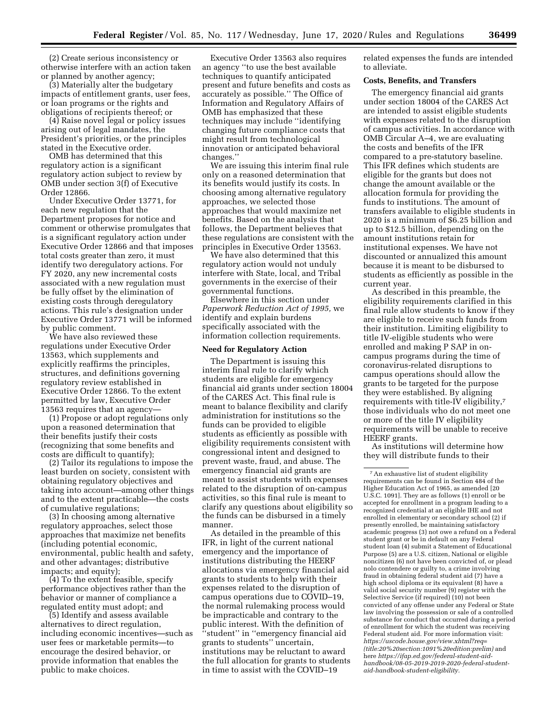(2) Create serious inconsistency or otherwise interfere with an action taken or planned by another agency;

(3) Materially alter the budgetary impacts of entitlement grants, user fees, or loan programs or the rights and obligations of recipients thereof; or

(4) Raise novel legal or policy issues arising out of legal mandates, the President's priorities, or the principles stated in the Executive order.

OMB has determined that this regulatory action is a significant regulatory action subject to review by OMB under section 3(f) of Executive Order 12866.

Under Executive Order 13771, for each new regulation that the Department proposes for notice and comment or otherwise promulgates that is a significant regulatory action under Executive Order 12866 and that imposes total costs greater than zero, it must identify two deregulatory actions. For FY 2020, any new incremental costs associated with a new regulation must be fully offset by the elimination of existing costs through deregulatory actions. This rule's designation under Executive Order 13771 will be informed by public comment.

We have also reviewed these regulations under Executive Order 13563, which supplements and explicitly reaffirms the principles, structures, and definitions governing regulatory review established in Executive Order 12866. To the extent permitted by law, Executive Order 13563 requires that an agency—

(1) Propose or adopt regulations only upon a reasoned determination that their benefits justify their costs (recognizing that some benefits and costs are difficult to quantify);

(2) Tailor its regulations to impose the least burden on society, consistent with obtaining regulatory objectives and taking into account—among other things and to the extent practicable—the costs of cumulative regulations;

(3) In choosing among alternative regulatory approaches, select those approaches that maximize net benefits (including potential economic, environmental, public health and safety, and other advantages; distributive impacts; and equity);

(4) To the extent feasible, specify performance objectives rather than the behavior or manner of compliance a regulated entity must adopt; and

(5) Identify and assess available alternatives to direct regulation, including economic incentives—such as user fees or marketable permits—to encourage the desired behavior, or provide information that enables the public to make choices.

Executive Order 13563 also requires an agency ''to use the best available techniques to quantify anticipated present and future benefits and costs as accurately as possible.'' The Office of Information and Regulatory Affairs of OMB has emphasized that these techniques may include ''identifying changing future compliance costs that might result from technological innovation or anticipated behavioral changes.''

We are issuing this interim final rule only on a reasoned determination that its benefits would justify its costs. In choosing among alternative regulatory approaches, we selected those approaches that would maximize net benefits. Based on the analysis that follows, the Department believes that these regulations are consistent with the principles in Executive Order 13563.

We have also determined that this regulatory action would not unduly interfere with State, local, and Tribal governments in the exercise of their governmental functions.

Elsewhere in this section under *Paperwork Reduction Act of 1995,* we identify and explain burdens specifically associated with the information collection requirements.

### **Need for Regulatory Action**

The Department is issuing this interim final rule to clarify which students are eligible for emergency financial aid grants under section 18004 of the CARES Act. This final rule is meant to balance flexibility and clarify administration for institutions so the funds can be provided to eligible students as efficiently as possible with eligibility requirements consistent with congressional intent and designed to prevent waste, fraud, and abuse. The emergency financial aid grants are meant to assist students with expenses related to the disruption of on-campus activities, so this final rule is meant to clarify any questions about eligibility so the funds can be disbursed in a timely manner.

As detailed in the preamble of this IFR, in light of the current national emergency and the importance of institutions distributing the HEERF allocations via emergency financial aid grants to students to help with their expenses related to the disruption of campus operations due to COVID–19, the normal rulemaking process would be impracticable and contrary to the public interest. With the definition of ''student'' in ''emergency financial aid grants to students'' uncertain, institutions may be reluctant to award the full allocation for grants to students in time to assist with the COVID–19

related expenses the funds are intended to alleviate.

#### **Costs, Benefits, and Transfers**

The emergency financial aid grants under section 18004 of the CARES Act are intended to assist eligible students with expenses related to the disruption of campus activities. In accordance with OMB Circular A–4, we are evaluating the costs and benefits of the IFR compared to a pre-statutory baseline. This IFR defines which students are eligible for the grants but does not change the amount available or the allocation formula for providing the funds to institutions. The amount of transfers available to eligible students in 2020 is a minimum of \$6.25 billion and up to \$12.5 billion, depending on the amount institutions retain for institutional expenses. We have not discounted or annualized this amount because it is meant to be disbursed to students as efficiently as possible in the current year.

As described in this preamble, the eligibility requirements clarified in this final rule allow students to know if they are eligible to receive such funds from their institution. Limiting eligibility to title IV-eligible students who were enrolled and making P SAP in oncampus programs during the time of coronavirus-related disruptions to campus operations should allow the grants to be targeted for the purpose they were established. By aligning requirements with title-IV eligibility,7 those individuals who do not meet one or more of the title IV eligibility requirements will be unable to receive HEERF grants.

As institutions will determine how they will distribute funds to their

<sup>7</sup>An exhaustive list of student eligibility requirements can be found in Section 484 of the Higher Education Act of 1965, as amended [20 U.S.C. 1091]. They are as follows (1) enroll or be accepted for enrollment in a program leading to a recognized credential at an eligible IHE and not enrolled in elementary or secondary school (2) if presently enrolled, be maintaining satisfactory academic progress (3) not owe a refund on a Federal student grant or be in default on any Federal student loan (4) submit a Statement of Educational Purpose (5) are a U.S. citizen, National or eligible noncitizen (6) not have been convicted of, or plead nolo contendere or guilty to, a crime involving fraud in obtaining federal student aid (7) have a high school diploma or its equivalent (8) have a valid social security number (9) register with the Selective Service (if required) (10) not been convicted of any offense under any Federal or State law involving the possession or sale of a controlled substance for conduct that occurred during a period of enrollment for which the student was receiving Federal student aid. For more information visit: *https://uscode.house.gov/view.xhtml?req= [\(title:20%20section:1091%20edition:prelim\)](https://uscode.house.gov/view.xhtml?req=
(title:20%20section:1091%20edition:prelim))* and here *[https://ifap.ed.gov/federal-student-aid](https://ifap.ed.gov/federal-student-aid-handbook/08-05-2019-2019-2020-federal-student-aid-handbook-student-eligibility)[handbook/08-05-2019-2019-2020-federal-student](https://ifap.ed.gov/federal-student-aid-handbook/08-05-2019-2019-2020-federal-student-aid-handbook-student-eligibility)[aid-handbook-student-eligibility.](https://ifap.ed.gov/federal-student-aid-handbook/08-05-2019-2019-2020-federal-student-aid-handbook-student-eligibility)*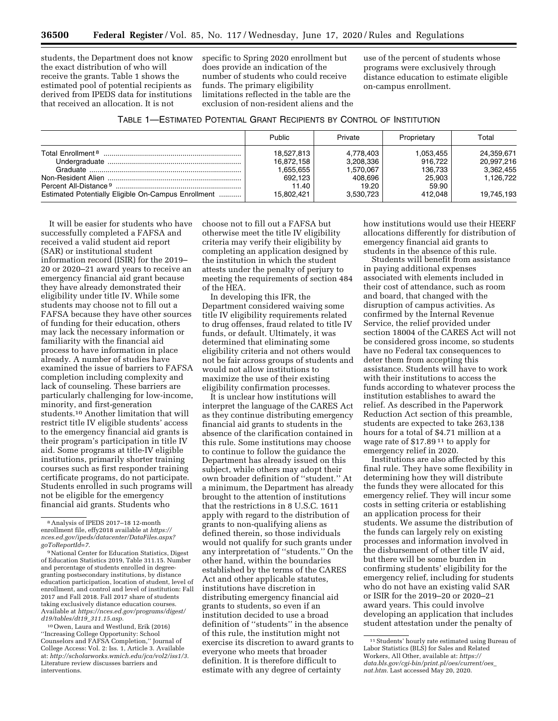students, the Department does not know the exact distribution of who will receive the grants. Table 1 shows the estimated pool of potential recipients as derived from IPEDS data for institutions that received an allocation. It is not

specific to Spring 2020 enrollment but does provide an indication of the number of students who could receive funds. The primary eligibility limitations reflected in the table are the exclusion of non-resident aliens and the use of the percent of students whose programs were exclusively through distance education to estimate eligible on-campus enrollment.

|                                                     | Public     | Private   | Proprietary | Total      |
|-----------------------------------------------------|------------|-----------|-------------|------------|
| Total Enrollment <sup>8</sup>                       | 18,527,813 | 4.778.403 | 1.053.455   | 24.359.671 |
|                                                     | 16,872,158 | 3,208,336 | 916.722     | 20,997,216 |
|                                                     | 1.655.655  | 1.570.067 | 136.733     | 3,362,455  |
|                                                     | 692.123    | 408.696   | 25,903      | 1.126.722  |
|                                                     | 11.40      | 19.20     | 59.90       |            |
| Estimated Potentially Eligible On-Campus Enrollment | 15.802.421 | 3.530.723 | 412.048     | 19,745,193 |

It will be easier for students who have successfully completed a FAFSA and received a valid student aid report (SAR) or institutional student information record (ISIR) for the 2019– 20 or 2020–21 award years to receive an emergency financial aid grant because they have already demonstrated their eligibility under title IV. While some students may choose not to fill out a FAFSA because they have other sources of funding for their education, others may lack the necessary information or familiarity with the financial aid process to have information in place already. A number of studies have examined the issue of barriers to FAFSA completion including complexity and lack of counseling. These barriers are particularly challenging for low-income, minority, and first-generation students.10 Another limitation that will restrict title IV eligible students' access to the emergency financial aid grants is their program's participation in title IV aid. Some programs at title-IV eligible institutions, primarily shorter training courses such as first responder training certificate programs, do not participate. Students enrolled in such programs will not be eligible for the emergency financial aid grants. Students who

10Owen, Laura and Westlund, Erik (2016) ''Increasing College Opportunity: School Counselors and FAFSA Completion,'' Journal of College Access: Vol. 2: Iss. 1, Article 3. Available at: *[http://scholarworks.wmich.edu/jca/vol2/iss1/3.](http://scholarworks.wmich.edu/jca/vol2/iss1/3)*  Literature review discusses barriers and interventions.

choose not to fill out a FAFSA but otherwise meet the title IV eligibility criteria may verify their eligibility by completing an application designed by the institution in which the student attests under the penalty of perjury to meeting the requirements of section 484 of the HEA.

In developing this IFR, the Department considered waiving some title IV eligibility requirements related to drug offenses, fraud related to title IV funds, or default. Ultimately, it was determined that eliminating some eligibility criteria and not others would not be fair across groups of students and would not allow institutions to maximize the use of their existing eligibility confirmation processes.

It is unclear how institutions will interpret the language of the CARES Act as they continue distributing emergency financial aid grants to students in the absence of the clarification contained in this rule. Some institutions may choose to continue to follow the guidance the Department has already issued on this subject, while others may adopt their own broader definition of ''student.'' At a minimum, the Department has already brought to the attention of institutions that the restrictions in 8 U.S.C. 1611 apply with regard to the distribution of grants to non-qualifying aliens as defined therein, so those individuals would not qualify for such grants under any interpretation of ''students.'' On the other hand, within the boundaries established by the terms of the CARES Act and other applicable statutes, institutions have discretion in distributing emergency financial aid grants to students, so even if an institution decided to use a broad definition of ''students'' in the absence of this rule, the institution might not exercise its discretion to award grants to everyone who meets that broader definition. It is therefore difficult to estimate with any degree of certainty

how institutions would use their HEERF allocations differently for distribution of emergency financial aid grants to students in the absence of this rule.

Students will benefit from assistance in paying additional expenses associated with elements included in their cost of attendance, such as room and board, that changed with the disruption of campus activities. As confirmed by the Internal Revenue Service, the relief provided under section 18004 of the CARES Act will not be considered gross income, so students have no Federal tax consequences to deter them from accepting this assistance. Students will have to work with their institutions to access the funds according to whatever process the institution establishes to award the relief. As described in the Paperwork Reduction Act section of this preamble, students are expected to take 263,138 hours for a total of \$4.71 million at a wage rate of \$17.89 11 to apply for emergency relief in 2020.

Institutions are also affected by this final rule. They have some flexibility in determining how they will distribute the funds they were allocated for this emergency relief. They will incur some costs in setting criteria or establishing an application process for their students. We assume the distribution of the funds can largely rely on existing processes and information involved in the disbursement of other title IV aid, but there will be some burden in confirming students' eligibility for the emergency relief, including for students who do not have an existing valid SAR or ISIR for the 2019–20 or 2020–21 award years. This could involve developing an application that includes student attestation under the penalty of

<sup>8</sup>Analysis of IPEDS 2017–18 12-month enrollment file, effy2018 available at *[https://](https://nces.ed.gov/ipeds/datacenter/DataFiles.aspx?goToReportId=7) [nces.ed.gov/ipeds/datacenter/DataFiles.aspx?](https://nces.ed.gov/ipeds/datacenter/DataFiles.aspx?goToReportId=7) [goToReportId=7](https://nces.ed.gov/ipeds/datacenter/DataFiles.aspx?goToReportId=7)*.

<sup>&</sup>lt;sup>9</sup> National Center for Education Statistics, Digest of Education Statistics 2019, Table 311.15. Number and percentage of students enrolled in degreegranting postsecondary institutions, by distance education participation, location of student, level of enrollment, and control and level of institution: Fall 2017 and Fall 2018. Fall 2017 share of students taking exclusively distance education courses. Available at *[https://nces.ed.gov/programs/digest/](https://nces.ed.gov/programs/digest/d19/tables/dt19_311.15.asp)  [d19/tables/dt19](https://nces.ed.gov/programs/digest/d19/tables/dt19_311.15.asp)*\_*311.15.asp.* 

<sup>11</sup>Students' hourly rate estimated using Bureau of Labor Statistics (BLS) for Sales and Related Workers, All Other, available at: *[https://](https://data.bls.gov/cgi-bin/print.pl/oes/current/oes_nat.htm) [data.bls.gov/cgi-bin/print.pl/oes/current/oes](https://data.bls.gov/cgi-bin/print.pl/oes/current/oes_nat.htm)*\_ *[nat.htm.](https://data.bls.gov/cgi-bin/print.pl/oes/current/oes_nat.htm)* Last accessed May 20, 2020.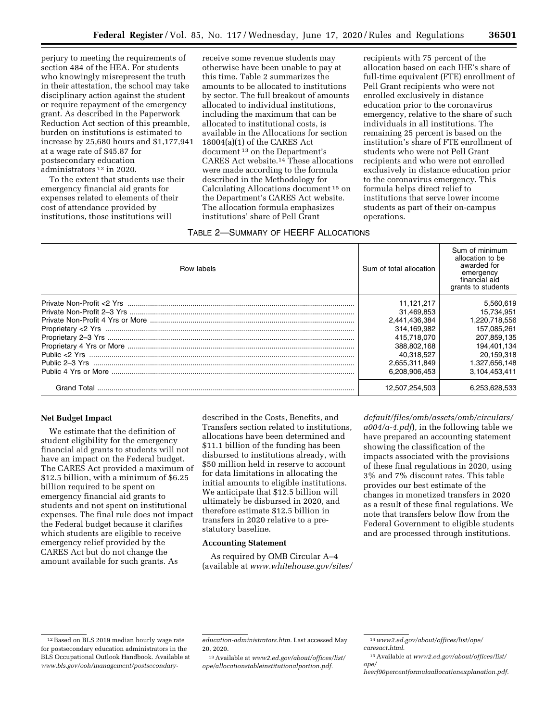perjury to meeting the requirements of section 484 of the HEA. For students who knowingly misrepresent the truth in their attestation, the school may take disciplinary action against the student or require repayment of the emergency grant. As described in the Paperwork Reduction Act section of this preamble, burden on institutions is estimated to increase by 25,680 hours and \$1,177,941 at a wage rate of \$45.87 for postsecondary education administrators 12 in 2020.

To the extent that students use their emergency financial aid grants for expenses related to elements of their cost of attendance provided by institutions, those institutions will

receive some revenue students may otherwise have been unable to pay at this time. Table 2 summarizes the amounts to be allocated to institutions by sector. The full breakout of amounts allocated to individual institutions, including the maximum that can be allocated to institutional costs, is available in the Allocations for section 18004(a)(1) of the CARES Act document 13 on the Department's CARES Act website.14 These allocations were made according to the formula described in the Methodology for Calculating Allocations document 15 on the Department's CARES Act website. The allocation formula emphasizes institutions' share of Pell Grant

# TABLE 2—SUMMARY OF HEERF ALLOCATIONS

recipients with 75 percent of the allocation based on each IHE's share of full-time equivalent (FTE) enrollment of Pell Grant recipients who were not enrolled exclusively in distance education prior to the coronavirus emergency, relative to the share of such individuals in all institutions. The remaining 25 percent is based on the institution's share of FTE enrollment of students who were not Pell Grant recipients and who were not enrolled exclusively in distance education prior to the coronavirus emergency. This formula helps direct relief to institutions that serve lower income students as part of their on-campus operations.

| Row labels     | Sum of total allocation | Sum of minimum<br>allocation to be<br>awarded for<br>emergency<br>financial aid<br>grants to students |
|----------------|-------------------------|-------------------------------------------------------------------------------------------------------|
|                | 11.121.217              | 5,560,619                                                                                             |
|                | 31,469,853              | 15,734,951                                                                                            |
|                | 2,441,436,384           | 1,220,718,556                                                                                         |
|                | 314.169.982             | 157,085,261                                                                                           |
|                | 415.718.070             | 207,859,135                                                                                           |
|                | 388.802.168             | 194,401,134                                                                                           |
|                | 40.318.527              | 20,159,318                                                                                            |
| Public 2–3 Yrs | 2,655,311,849           | 1,327,656,148                                                                                         |
|                | 6.208.906.453           | 3,104,453,411                                                                                         |
| Grand Total    | 12,507,254,503          | 6.253.628.533                                                                                         |

#### **Net Budget Impact**

We estimate that the definition of student eligibility for the emergency financial aid grants to students will not have an impact on the Federal budget. The CARES Act provided a maximum of \$12.5 billion, with a minimum of \$6.25 billion required to be spent on emergency financial aid grants to students and not spent on institutional expenses. The final rule does not impact the Federal budget because it clarifies which students are eligible to receive emergency relief provided by the CARES Act but do not change the amount available for such grants. As

described in the Costs, Benefits, and Transfers section related to institutions, allocations have been determined and \$11.1 billion of the funding has been disbursed to institutions already, with \$50 million held in reserve to account for data limitations in allocating the initial amounts to eligible institutions. We anticipate that \$12.5 billion will ultimately be disbursed in 2020, and therefore estimate \$12.5 billion in transfers in 2020 relative to a prestatutory baseline.

### **Accounting Statement**

As required by OMB Circular A–4 (available at *[www.whitehouse.gov/sites/](http://www.whitehouse.gov/sites/default/files/omb/assets/omb/circulars/a004/a-4.pdf)* 

*[default/files/omb/assets/omb/circulars/](http://www.whitehouse.gov/sites/default/files/omb/assets/omb/circulars/a004/a-4.pdf) [a004/a-4.pdf](http://www.whitehouse.gov/sites/default/files/omb/assets/omb/circulars/a004/a-4.pdf)*), in the following table we have prepared an accounting statement showing the classification of the impacts associated with the provisions of these final regulations in 2020, using 3% and 7% discount rates. This table provides our best estimate of the changes in monetized transfers in 2020 as a result of these final regulations. We note that transfers below flow from the Federal Government to eligible students and are processed through institutions.

<sup>12</sup>Based on BLS 2019 median hourly wage rate for postsecondary education administrators in the BLS Occupational Outlook Handbook. Available at *[www.bls.gov/ooh/management/postsecondary-](http://www.bls.gov/ooh/management/postsecondary-education-administrators.htm)*

*[education-administrators.htm.](http://www.bls.gov/ooh/management/postsecondary-education-administrators.htm)* Last accessed May 20, 2020.

<sup>13</sup>Available at *[www2.ed.gov/about/offices/list/](http://www2.ed.gov/about/offices/list/ope/allocationstableinstitutionalportion.pdf) [ope/allocationstableinstitutionalportion.pdf.](http://www2.ed.gov/about/offices/list/ope/allocationstableinstitutionalportion.pdf)* 

<sup>14</sup>*[www2.ed.gov/about/offices/list/ope/](http://www2.ed.gov/about/offices/list/ope/caresact.html) [caresact.html](http://www2.ed.gov/about/offices/list/ope/caresact.html)*.

<sup>15</sup>Available at *[www2.ed.gov/about/offices/list/](http://www2.ed.gov/about/offices/list/ope/heerf90percentformulaallocationexplanation.pdf) [ope/](http://www2.ed.gov/about/offices/list/ope/heerf90percentformulaallocationexplanation.pdf)* 

*[heerf90percentformulaallocationexplanation.pdf.](http://www2.ed.gov/about/offices/list/ope/heerf90percentformulaallocationexplanation.pdf)*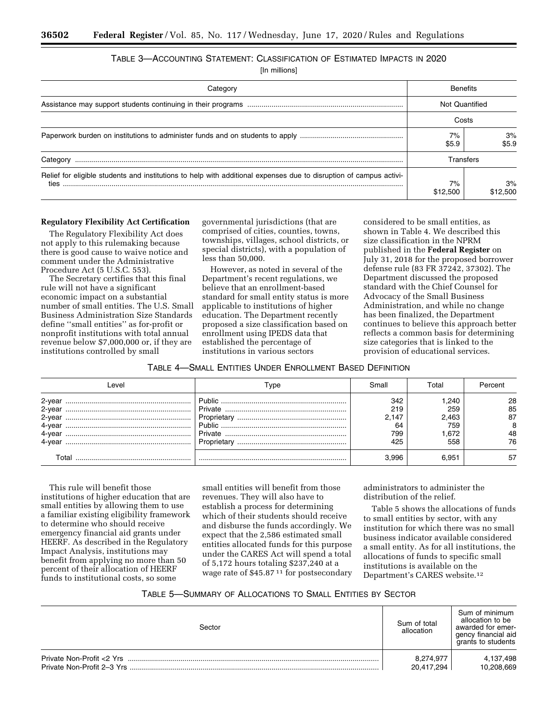# TABLE 3—ACCOUNTING STATEMENT: CLASSIFICATION OF ESTIMATED IMPACTS IN 2020

[In millions]

| Category                                                                                                                   |                | <b>Benefits</b> |  |
|----------------------------------------------------------------------------------------------------------------------------|----------------|-----------------|--|
|                                                                                                                            | Not Quantified |                 |  |
|                                                                                                                            | Costs          |                 |  |
|                                                                                                                            | 7%<br>\$5.9    | 3%<br>\$5.9     |  |
| Category                                                                                                                   | Transfers      |                 |  |
| Relief for eligible students and institutions to help with additional expenses due to disruption of campus activi-<br>ties | 7%<br>\$12,500 | 3%<br>\$12,500  |  |

#### **Regulatory Flexibility Act Certification**

The Regulatory Flexibility Act does not apply to this rulemaking because there is good cause to waive notice and comment under the Administrative Procedure Act (5 U.S.C. 553).

The Secretary certifies that this final rule will not have a significant economic impact on a substantial number of small entities. The U.S. Small Business Administration Size Standards define ''small entities'' as for-profit or nonprofit institutions with total annual revenue below \$7,000,000 or, if they are institutions controlled by small

governmental jurisdictions (that are comprised of cities, counties, towns, townships, villages, school districts, or special districts), with a population of less than 50,000.

However, as noted in several of the Department's recent regulations, we believe that an enrollment-based standard for small entity status is more applicable to institutions of higher education. The Department recently proposed a size classification based on enrollment using IPEDS data that established the percentage of institutions in various sectors

considered to be small entities, as shown in Table 4. We described this size classification in the NPRM published in the **Federal Register** on July 31, 2018 for the proposed borrower defense rule (83 FR 37242, 37302). The Department discussed the proposed standard with the Chief Counsel for Advocacy of the Small Business Administration, and while no change has been finalized, the Department continues to believe this approach better reflects a common basis for determining size categories that is linked to the provision of educational services.

### TABLE 4—SMALL ENTITIES UNDER ENROLLMENT BASED DEFINITION

| ∟evel                              |                                       | Small                                   | Total                                      |                                 |
|------------------------------------|---------------------------------------|-----------------------------------------|--------------------------------------------|---------------------------------|
| 2-vea<br>2-vea<br>4-vear<br>4-vear | Private<br>Proprietary<br>Proprietary | 342<br>219<br>2.147<br>64<br>799<br>425 | .240<br>259<br>2.463<br>759<br>.672<br>558 | 28<br>85<br>87<br>8<br>48<br>76 |
| ГоtаI                              |                                       |                                         | 6.951                                      | -57                             |

This rule will benefit those institutions of higher education that are small entities by allowing them to use a familiar existing eligibility framework to determine who should receive emergency financial aid grants under HEERF. As described in the Regulatory Impact Analysis, institutions may benefit from applying no more than 50 percent of their allocation of HEERF funds to institutional costs, so some

small entities will benefit from those revenues. They will also have to establish a process for determining which of their students should receive and disburse the funds accordingly. We expect that the 2,586 estimated small entities allocated funds for this purpose under the CARES Act will spend a total of 5,172 hours totaling \$237,240 at a wage rate of \$45.87 11 for postsecondary administrators to administer the distribution of the relief.

Table 5 shows the allocations of funds to small entities by sector, with any institution for which there was no small business indicator available considered a small entity. As for all institutions, the allocations of funds to specific small institutions is available on the Department's CARES website.12

# TABLE 5—SUMMARY OF ALLOCATIONS TO SMALL ENTITIES BY SECTOR

| Sector                    | Sum of total<br>allocation | Sum of minimum<br>allocation to be<br>awarded for emer-<br>gency financial aid<br>grants to students |
|---------------------------|----------------------------|------------------------------------------------------------------------------------------------------|
| Private Non-Profit <2 Yrs | 8,274,977                  | 4,137,498                                                                                            |
|                           | 20,417,294                 | 10,208,669                                                                                           |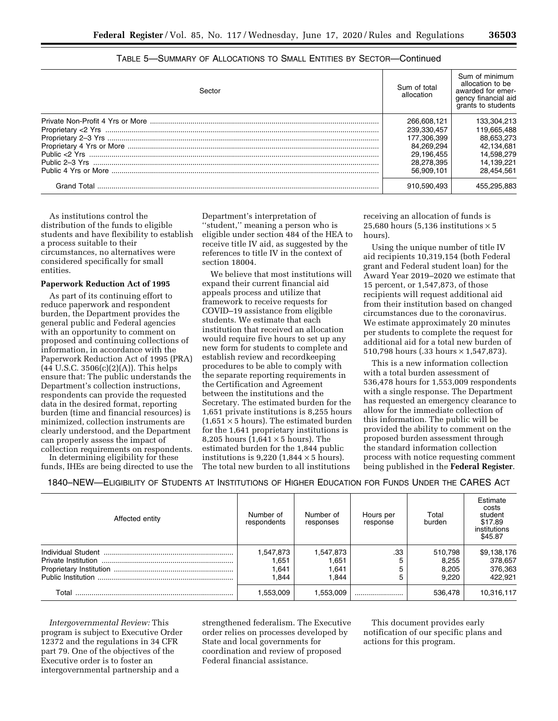| Sector | Sum of total<br>allocation | Sum of minimum<br>allocation to be<br>awarded for emer-<br>gency financial aid<br>grants to students |
|--------|----------------------------|------------------------------------------------------------------------------------------------------|
|        | 266.608.121                | 133.304.213                                                                                          |
|        | 239.330.457                | 119.665.488                                                                                          |
|        | 177.306.399                | 88.653.273                                                                                           |
|        | 84.269.294                 | 42.134.681                                                                                           |
|        | 29.196.455                 | 14.598.279                                                                                           |
|        | 28.278.395                 | 14.139.221                                                                                           |
|        | 56.909.101                 | 28.454.561                                                                                           |
|        | 910.590.493                | 455,295,883                                                                                          |

# TABLE 5—SUMMARY OF ALLOCATIONS TO SMALL ENTITIES BY SECTOR—Continued

As institutions control the distribution of the funds to eligible students and have flexibility to establish a process suitable to their circumstances, no alternatives were considered specifically for small entities.

### **Paperwork Reduction Act of 1995**

As part of its continuing effort to reduce paperwork and respondent burden, the Department provides the general public and Federal agencies with an opportunity to comment on proposed and continuing collections of information, in accordance with the Paperwork Reduction Act of 1995 (PRA)  $(44 \text{ U.S.C. } 3506(c)(2)(A))$ . This helps ensure that: The public understands the Department's collection instructions, respondents can provide the requested data in the desired format, reporting burden (time and financial resources) is minimized, collection instruments are clearly understood, and the Department can properly assess the impact of collection requirements on respondents.

In determining eligibility for these funds, IHEs are being directed to use the Department's interpretation of ''student,'' meaning a person who is eligible under section 484 of the HEA to receive title IV aid, as suggested by the references to title IV in the context of section 18004.

We believe that most institutions will expand their current financial aid appeals process and utilize that framework to receive requests for COVID–19 assistance from eligible students. We estimate that each institution that received an allocation would require five hours to set up any new form for students to complete and establish review and recordkeeping procedures to be able to comply with the separate reporting requirements in the Certification and Agreement between the institutions and the Secretary. The estimated burden for the 1,651 private institutions is 8,255 hours  $(1,651 \times 5 \text{ hours})$ . The estimated burden for the 1,641 proprietary institutions is 8,205 hours  $(1,641 \times 5 \text{ hours})$ . The estimated burden for the 1,844 public institutions is  $9,220$  (1,844  $\times$  5 hours). The total new burden to all institutions

receiving an allocation of funds is 25,680 hours (5,136 institutions  $\times$  5 hours).

Using the unique number of title IV aid recipients 10,319,154 (both Federal grant and Federal student loan) for the Award Year 2019–2020 we estimate that 15 percent, or 1,547,873, of those recipients will request additional aid from their institution based on changed circumstances due to the coronavirus. We estimate approximately 20 minutes per students to complete the request for additional aid for a total new burden of 510,798 hours (.33 hours × 1,547,873).

This is a new information collection with a total burden assessment of 536,478 hours for 1,553,009 respondents with a single response. The Department has requested an emergency clearance to allow for the immediate collection of this information. The public will be provided the ability to comment on the proposed burden assessment through the standard information collection process with notice requesting comment being published in the **Federal Register**.

1840–NEW—ELIGIBILITY OF STUDENTS AT INSTITUTIONS OF HIGHER EDUCATION FOR FUNDS UNDER THE CARES ACT

| Affected entity | Number of<br>respondents          | Number of<br>responses               | Hours per<br>response | Total<br>burden                    | Estimate<br>costs<br>student<br>\$17.89<br>institutions<br>\$45.87 |
|-----------------|-----------------------------------|--------------------------------------|-----------------------|------------------------------------|--------------------------------------------------------------------|
|                 | 1,547,873<br>.651<br>.641<br>.844 | 1,547,873<br>1,651<br>1,641<br>1.844 | .33<br>5<br>5<br>5    | 510.798<br>8,255<br>8.205<br>9.220 | \$9,138,176<br>378,657<br>376,363<br>422.921                       |
| Total           | 1,553,009                         | 1.553.009                            |                       | 536,478                            | 10,316,117                                                         |

*Intergovernmental Review:* This program is subject to Executive Order 12372 and the regulations in 34 CFR part 79. One of the objectives of the Executive order is to foster an intergovernmental partnership and a

strengthened federalism. The Executive order relies on processes developed by State and local governments for coordination and review of proposed Federal financial assistance.

This document provides early notification of our specific plans and actions for this program.